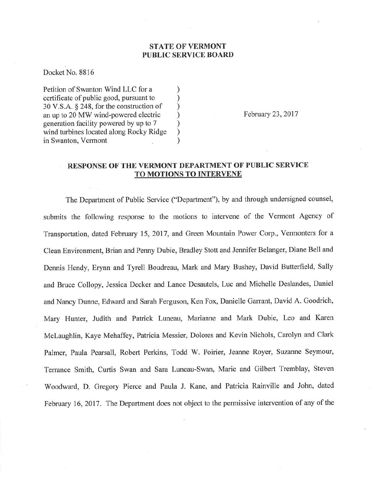## STATE OF VERMONT PUBLIC SERVICE BOARD

Docket No. 8816

Petition of Swanton Wind LLC for a <br>certificate of public good, pursuant to  $)$ certificate of public good, pursuant to <br>30 V.S.A. § 248, for the construction of ) <sup>30</sup>V.S.A. \$ 248, for the construction of ) an up to 20 MW wind-powered electric ) generation facility powered by up to 7 ) wind turbines located along Rocky Ridge ) in Swanton, Vermont

February 23,2017

## RESPONSE OF THE VERMONT DEPARTMENT OF PUBLIC SERVICE TO MOTIONS TO INTERVENE

The Department of Public Service ("Department"), by and through undersigned counsel, submits the following response to the motions to intervene of the Vermont Agency of Transportation, dated February 15, 2017, and Green Mountain Power Corp., Vermonters for a Clean Environment, Brian and Penny Dubie, Bradley Stott and Jennifer Belanger, Diane Bell and Dennis Hendy, Erynn and Tyrell Boudreau, Mark and Mary Bushey, David Butterfield, Sally and Bruce Collopy, Jessica Decker and Lance Desautels, Luc and Michelle Deslandes, Daniel and Nancy Dunne, Edward and Sarah Ferguson, Ken Fox, Danielle Garrant, David A. Goodrich, Mary Hunter, Judith and Patrick Luneau, Marianne and Mark Dubie, Leo and Karen Mclaughlin, Kaye Mehaffey, Patricia Messier, Dolores and Kevin Nichols, Carolyn and Clark Palmer, Paula Pearsall, Robert Perkins, Todd W. Poirier, Jeanne Royer, Suzanne Seymour, Terrance Smith, Curtis Swan and Sara Luneau-Swan, Marie and Gilbert Tremblay, Steven Woodward, D. Gregory Pierce and Paula J. Kane, and Patricia Rainville and John, dated February 16, 2017. The Department does not object to the permissive intervention of any of the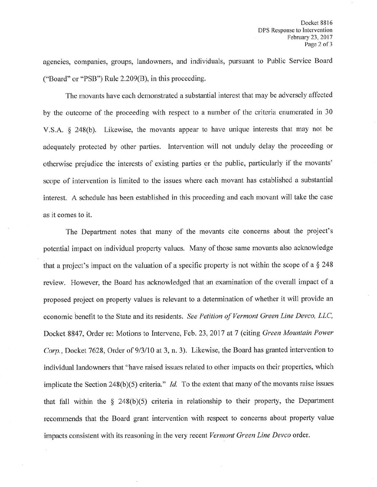agencies, companies, groups, landowners, and individuals, pursuant to Public Service Board ("Board" or "PSB") Rule 2.209(8), in this proceeding.

The movants have each demonstrated a substantial interest that may be adversely affected by the outcome of the proceeding with respect to a number of the criteria enumerated in <sup>30</sup> V.S.A. \$ 248(b). Likewise, the movants appear to have unique interests that may not be adequately protected by other parties. Intervention will not unduly delay the proceeding or otherwise prejudice the interests of existing parties or the public, particularly if the movants' scope of intervention is limited to the issues where each movant has established a substantial interest. A schedule has been established in this proceeding and each movant will take the case as it comes to it.

The Department notes that many of the movants cite concerns about the project's potential impact on individual property values. Many of those same movants also acknowledge that a project's impact on the valuation of a specific property is not within the scope of a  $\S 248$ review. However, the Board has acknowledged that an examination of the overall impact of <sup>a</sup> proposed project on property values is relevant to a determination of whether it will provide an economic benefit to the State and its residents. See Petition of Vermont Green Line Devco, LLC, Docket 8847, Order re: Motions to Intervene, Feb. 23, 2017 at 7 (citing Green Mountain Power Corp., Docket 7628, Order of 9/3/10 at 3, n. 3). Likewise, the Board has granted intervention to individual landowners that "have raised issues related to other impacts on their properties, which implicate the Section 248(b)(5) criteria." *Id.* To the extent that many of the movants raise issues that fall within the  $\S$  248(b)(5) criteria in relationship to their property, the Department recommends that the Board grant intervention with respect to concerns about property value impacts consistent with its reasoning in the very recent Vermont Green Line Devco order.